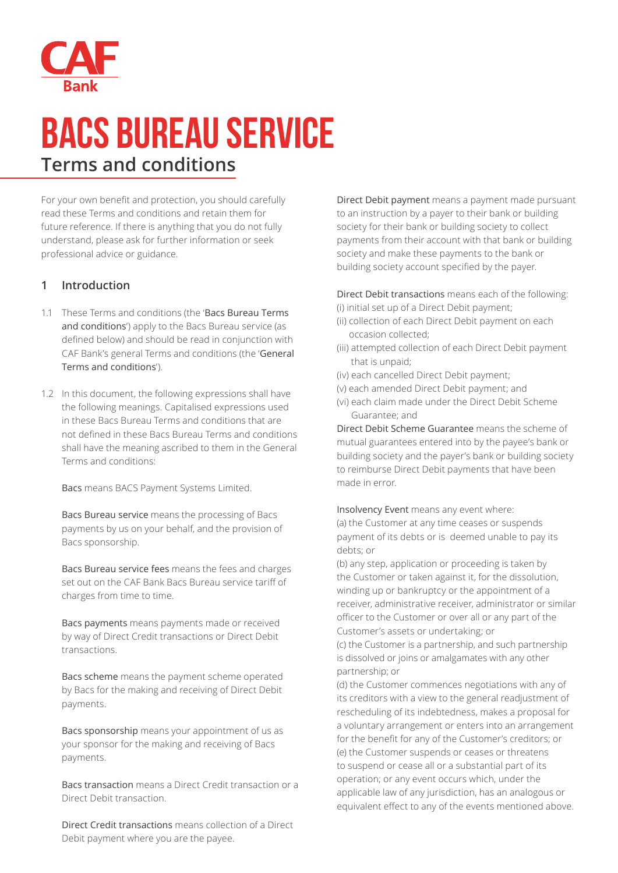

# **BACS BUREAU SERVICE Terms and conditions**

For your own benefit and protection, you should carefully read these Terms and conditions and retain them for future reference. If there is anything that you do not fully understand, please ask for further information or seek professional advice or guidance.

#### **1 Introduction**

- 1.1 These Terms and conditions (the 'Bacs Bureau Terms and conditions') apply to the Bacs Bureau service (as defined below) and should be read in conjunction with CAF Bank's general Terms and conditions (the 'General Terms and conditions').
- 1.2 In this document, the following expressions shall have the following meanings. Capitalised expressions used in these Bacs Bureau Terms and conditions that are not defined in these Bacs Bureau Terms and conditions shall have the meaning ascribed to them in the General Terms and conditions:

Bacs means BACS Payment Systems Limited.

Bacs Bureau service means the processing of Bacs payments by us on your behalf, and the provision of Bacs sponsorship.

 Bacs Bureau service fees means the fees and charges set out on the CAF Bank Bacs Bureau service tariff of charges from time to time.

Bacs payments means payments made or received by way of Direct Credit transactions or Direct Debit transactions.

Bacs scheme means the payment scheme operated by Bacs for the making and receiving of Direct Debit payments.

 Bacs sponsorship means your appointment of us as your sponsor for the making and receiving of Bacs payments.

Bacs transaction means a Direct Credit transaction or a Direct Debit transaction.

 Direct Credit transactions means collection of a Direct Debit payment where you are the payee.

Direct Debit payment means a payment made pursuant to an instruction by a payer to their bank or building society for their bank or building society to collect payments from their account with that bank or building society and make these payments to the bank or building society account specified by the payer.

Direct Debit transactions means each of the following:

- (i) initial set up of a Direct Debit payment;
- (ii) collection of each Direct Debit payment on each occasion collected;
- (iii) attempted collection of each Direct Debit payment that is unpaid;
- (iv) each cancelled Direct Debit payment;
- (v) each amended Direct Debit payment; and
- (vi) each claim made under the Direct Debit Scheme Guarantee; and

 Direct Debit Scheme Guarantee means the scheme of mutual guarantees entered into by the payee's bank or building society and the payer's bank or building society to reimburse Direct Debit payments that have been made in error.

 Insolvency Event means any event where: (a) the Customer at any time ceases or suspends payment of its debts or is deemed unable to pay its debts; or

(b) any step, application or proceeding is taken by the Customer or taken against it, for the dissolution, winding up or bankruptcy or the appointment of a receiver, administrative receiver, administrator or similar officer to the Customer or over all or any part of the Customer's assets or undertaking; or

(c) the Customer is a partnership, and such partnership is dissolved or joins or amalgamates with any other partnership; or

(d) the Customer commences negotiations with any of its creditors with a view to the general readjustment of rescheduling of its indebtedness, makes a proposal for a voluntary arrangement or enters into an arrangement for the benefit for any of the Customer's creditors; or (e) the Customer suspends or ceases or threatens to suspend or cease all or a substantial part of its operation; or any event occurs which, under the applicable law of any jurisdiction, has an analogous or equivalent effect to any of the events mentioned above.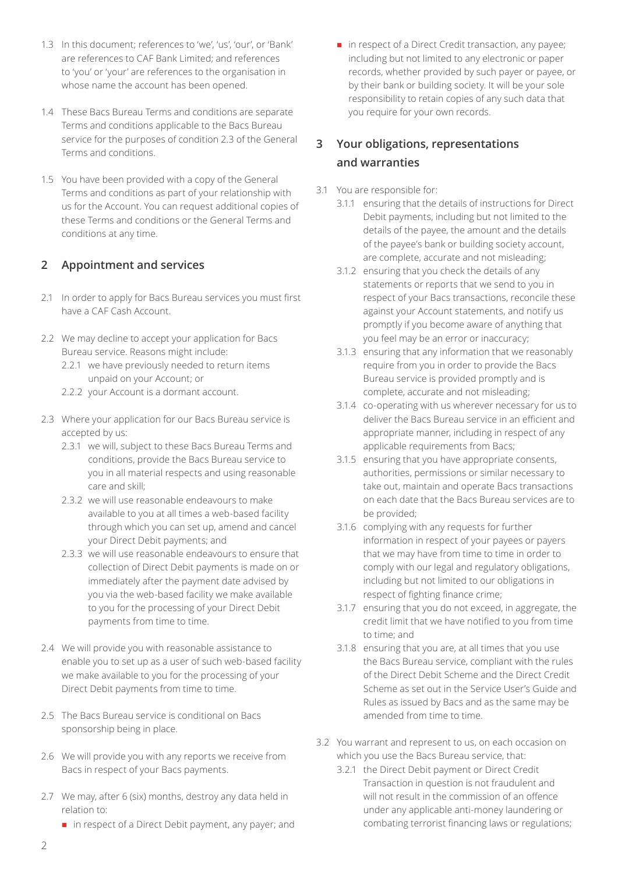- 1.3 In this document; references to 'we', 'us', 'our', or 'Bank' are references to CAF Bank Limited; and references to 'you' or 'your' are references to the organisation in whose name the account has been opened.
- 1.4 These Bacs Bureau Terms and conditions are separate Terms and conditions applicable to the Bacs Bureau service for the purposes of condition 2.3 of the General Terms and conditions.
- 1.5 You have been provided with a copy of the General Terms and conditions as part of your relationship with us for the Account. You can request additional copies of these Terms and conditions or the General Terms and conditions at any time.

### **2 Appointment and services**

- 2.1 In order to apply for Bacs Bureau services you must first have a CAF Cash Account.
- 2.2 We may decline to accept your application for Bacs Bureau service. Reasons might include:
	- 2.2.1 we have previously needed to return items unpaid on your Account; or
	- 2.2.2 your Account is a dormant account.
- 2.3 Where your application for our Bacs Bureau service is accepted by us:
	- 2.3.1 we will, subject to these Bacs Bureau Terms and conditions, provide the Bacs Bureau service to you in all material respects and using reasonable care and skill;
	- 2.3.2 we will use reasonable endeavours to make available to you at all times a web-based facility through which you can set up, amend and cancel your Direct Debit payments; and
	- 2.3.3 we will use reasonable endeavours to ensure that collection of Direct Debit payments is made on or immediately after the payment date advised by you via the web-based facility we make available to you for the processing of your Direct Debit payments from time to time.
- 2.4 We will provide you with reasonable assistance to enable you to set up as a user of such web-based facility we make available to you for the processing of your Direct Debit payments from time to time.
- 2.5 The Bacs Bureau service is conditional on Bacs sponsorship being in place.
- 2.6 We will provide you with any reports we receive from Bacs in respect of your Bacs payments.
- 2.7 We may, after 6 (six) months, destroy any data held in relation to:
	- $\blacksquare$  in respect of a Direct Debit payment, any payer; and

 $\blacksquare$  in respect of a Direct Credit transaction, any payee; including but not limited to any electronic or paper records, whether provided by such payer or payee, or by their bank or building society. It will be your sole responsibility to retain copies of any such data that you require for your own records.

## **3 Your obligations, representations and warranties**

- 3.1 You are responsible for:
	- 3.1.1 ensuring that the details of instructions for Direct Debit payments, including but not limited to the details of the payee, the amount and the details of the payee's bank or building society account, are complete, accurate and not misleading;
	- 3.1.2 ensuring that you check the details of any statements or reports that we send to you in respect of your Bacs transactions, reconcile these against your Account statements, and notify us promptly if you become aware of anything that you feel may be an error or inaccuracy;
	- 3.1.3 ensuring that any information that we reasonably require from you in order to provide the Bacs Bureau service is provided promptly and is complete, accurate and not misleading;
	- 3.1.4 co-operating with us wherever necessary for us to deliver the Bacs Bureau service in an efficient and appropriate manner, including in respect of any applicable requirements from Bacs;
	- 3.1.5 ensuring that you have appropriate consents, authorities, permissions or similar necessary to take out, maintain and operate Bacs transactions on each date that the Bacs Bureau services are to be provided;
	- 3.1.6 complying with any requests for further information in respect of your payees or payers that we may have from time to time in order to comply with our legal and regulatory obligations, including but not limited to our obligations in respect of fighting finance crime;
	- 3.1.7 ensuring that you do not exceed, in aggregate, the credit limit that we have notified to you from time to time; and
	- 3.1.8 ensuring that you are, at all times that you use the Bacs Bureau service, compliant with the rules of the Direct Debit Scheme and the Direct Credit Scheme as set out in the Service User's Guide and Rules as issued by Bacs and as the same may be amended from time to time.
- 3.2 You warrant and represent to us, on each occasion on which you use the Bacs Bureau service, that:
	- 3.2.1 the Direct Debit payment or Direct Credit Transaction in question is not fraudulent and will not result in the commission of an offence under any applicable anti-money laundering or combating terrorist financing laws or regulations;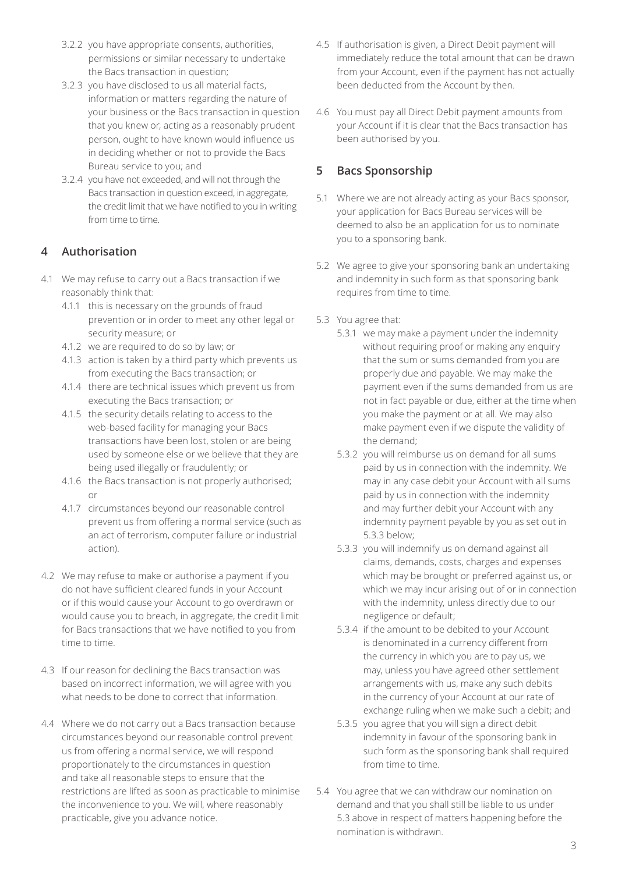- 3.2.2 you have appropriate consents, authorities, permissions or similar necessary to undertake the Bacs transaction in question;
- 3.2.3 you have disclosed to us all material facts, information or matters regarding the nature of your business or the Bacs transaction in question that you knew or, acting as a reasonably prudent person, ought to have known would influence us in deciding whether or not to provide the Bacs Bureau service to you; and
- 3.2.4 you have not exceeded, and will not through the Bacs transaction in question exceed, in aggregate, the credit limit that we have notified to you in writing from time to time.

### **4 Authorisation**

- 4.1 We may refuse to carry out a Bacs transaction if we reasonably think that:
	- 4.1.1 this is necessary on the grounds of fraud prevention or in order to meet any other legal or security measure; or
	- 4.1.2 we are required to do so by law; or
	- 4.1.3 action is taken by a third party which prevents us from executing the Bacs transaction; or
	- 4.1.4 there are technical issues which prevent us from executing the Bacs transaction; or
	- 4.1.5 the security details relating to access to the web-based facility for managing your Bacs transactions have been lost, stolen or are being used by someone else or we believe that they are being used illegally or fraudulently; or
	- 4.1.6 the Bacs transaction is not properly authorised; or
	- 4.1.7 circumstances beyond our reasonable control prevent us from offering a normal service (such as an act of terrorism, computer failure or industrial action).
- 4.2 We may refuse to make or authorise a payment if you do not have sufficient cleared funds in your Account or if this would cause your Account to go overdrawn or would cause you to breach, in aggregate, the credit limit for Bacs transactions that we have notified to you from time to time.
- 4.3 If our reason for declining the Bacs transaction was based on incorrect information, we will agree with you what needs to be done to correct that information.
- 4.4 Where we do not carry out a Bacs transaction because circumstances beyond our reasonable control prevent us from offering a normal service, we will respond proportionately to the circumstances in question and take all reasonable steps to ensure that the restrictions are lifted as soon as practicable to minimise the inconvenience to you. We will, where reasonably practicable, give you advance notice.
- 4.5 If authorisation is given, a Direct Debit payment will immediately reduce the total amount that can be drawn from your Account, even if the payment has not actually been deducted from the Account by then.
- 4.6 You must pay all Direct Debit payment amounts from your Account if it is clear that the Bacs transaction has been authorised by you.

## **5 Bacs Sponsorship**

- 5.1 Where we are not already acting as your Bacs sponsor, your application for Bacs Bureau services will be deemed to also be an application for us to nominate you to a sponsoring bank.
- 5.2 We agree to give your sponsoring bank an undertaking and indemnity in such form as that sponsoring bank requires from time to time.
- 5.3 You agree that:
	- 5.3.1 we may make a payment under the indemnity without requiring proof or making any enquiry that the sum or sums demanded from you are properly due and payable. We may make the payment even if the sums demanded from us are not in fact payable or due, either at the time when you make the payment or at all. We may also make payment even if we dispute the validity of the demand;
	- 5.3.2 you will reimburse us on demand for all sums paid by us in connection with the indemnity. We may in any case debit your Account with all sums paid by us in connection with the indemnity and may further debit your Account with any indemnity payment payable by you as set out in 5.3.3 below;
	- 5.3.3 you will indemnify us on demand against all claims, demands, costs, charges and expenses which may be brought or preferred against us, or which we may incur arising out of or in connection with the indemnity, unless directly due to our negligence or default;
	- 5.3.4 if the amount to be debited to your Account is denominated in a currency different from the currency in which you are to pay us, we may, unless you have agreed other settlement arrangements with us, make any such debits in the currency of your Account at our rate of exchange ruling when we make such a debit; and
	- 5.3.5 you agree that you will sign a direct debit indemnity in favour of the sponsoring bank in such form as the sponsoring bank shall required from time to time.
- 5.4 You agree that we can withdraw our nomination on demand and that you shall still be liable to us under 5.3 above in respect of matters happening before the nomination is withdrawn.